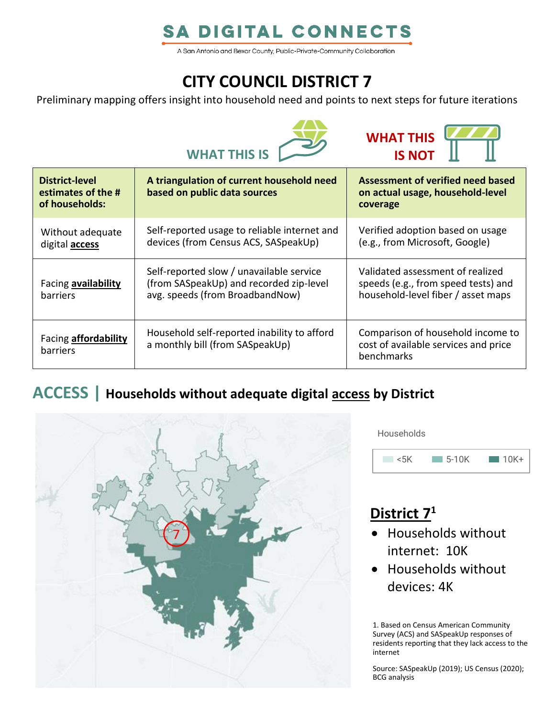# **SA DIGITAL CONNECTS**

A San Antonio and Bexar County, Public-Private-Community Collaboration

# **CITY COUNCIL DISTRICT 7**

Preliminary mapping offers insight into household need and points to next steps for future iterations





| <b>District-level</b><br>estimates of the #<br>of households: | A triangulation of current household need<br>based on public data sources                                              | Assessment of verified need based<br>on actual usage, household-level<br>coverage                             |
|---------------------------------------------------------------|------------------------------------------------------------------------------------------------------------------------|---------------------------------------------------------------------------------------------------------------|
| Without adequate<br>digital <b>access</b>                     | Self-reported usage to reliable internet and<br>devices (from Census ACS, SASpeakUp)                                   | Verified adoption based on usage<br>(e.g., from Microsoft, Google)                                            |
| Facing availability<br><b>barriers</b>                        | Self-reported slow / unavailable service<br>(from SASpeakUp) and recorded zip-level<br>avg. speeds (from BroadbandNow) | Validated assessment of realized<br>speeds (e.g., from speed tests) and<br>household-level fiber / asset maps |
| Facing <b>affordability</b><br>barriers                       | Household self-reported inability to afford<br>a monthly bill (from SASpeakUp)                                         | Comparison of household income to<br>cost of available services and price<br>benchmarks                       |

### **ACCESS | Households without adequate digital access by District**



**Households** 



# **District 7 1**

- Households without internet: 10K
- Households without devices: 4K

1. Based on Census American Community Survey (ACS) and SASpeakUp responses of residents reporting that they lack access to the internet

Source: SASpeakUp (2019); US Census (2020); BCG analysis